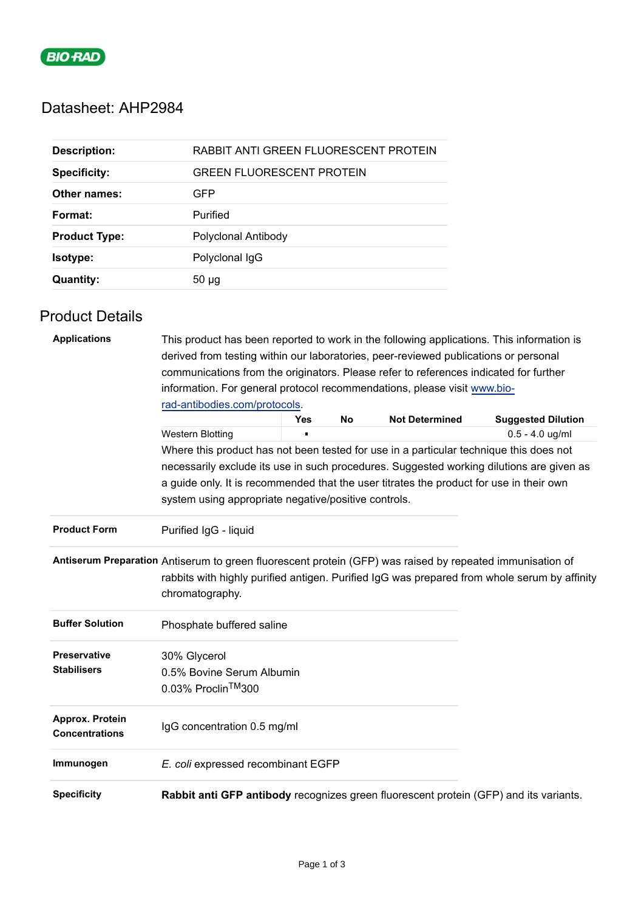

# Datasheet: AHP2984

| <b>Description:</b>  | RABBIT ANTI GREEN FLUORESCENT PROTEIN |
|----------------------|---------------------------------------|
| <b>Specificity:</b>  | <b>GREEN FLUORESCENT PROTEIN</b>      |
| Other names:         | GFP                                   |
| Format:              | Purified                              |
| <b>Product Type:</b> | Polyclonal Antibody                   |
| <b>Isotype:</b>      | Polyclonal IgG                        |
| <b>Quantity:</b>     | $50 \mu g$                            |

## Product Details

| <b>Applications</b>                      | This product has been reported to work in the following applications. This information is                                                       |            |    |                       |                                                                                              |
|------------------------------------------|-------------------------------------------------------------------------------------------------------------------------------------------------|------------|----|-----------------------|----------------------------------------------------------------------------------------------|
|                                          | derived from testing within our laboratories, peer-reviewed publications or personal                                                            |            |    |                       |                                                                                              |
|                                          | communications from the originators. Please refer to references indicated for further                                                           |            |    |                       |                                                                                              |
|                                          | information. For general protocol recommendations, please visit www.bio-                                                                        |            |    |                       |                                                                                              |
|                                          | rad-antibodies.com/protocols.                                                                                                                   |            |    |                       |                                                                                              |
|                                          |                                                                                                                                                 | <b>Yes</b> | No | <b>Not Determined</b> | <b>Suggested Dilution</b>                                                                    |
|                                          | <b>Western Blotting</b>                                                                                                                         |            |    |                       | $0.5 - 4.0$ ug/ml                                                                            |
|                                          | Where this product has not been tested for use in a particular technique this does not                                                          |            |    |                       |                                                                                              |
|                                          | necessarily exclude its use in such procedures. Suggested working dilutions are given as                                                        |            |    |                       |                                                                                              |
|                                          | a guide only. It is recommended that the user titrates the product for use in their own<br>system using appropriate negative/positive controls. |            |    |                       |                                                                                              |
| <b>Product Form</b>                      | Purified IgG - liquid                                                                                                                           |            |    |                       |                                                                                              |
|                                          | Antiserum Preparation Antiserum to green fluorescent protein (GFP) was raised by repeated immunisation of<br>chromatography.                    |            |    |                       | rabbits with highly purified antigen. Purified IgG was prepared from whole serum by affinity |
| <b>Buffer Solution</b>                   | Phosphate buffered saline                                                                                                                       |            |    |                       |                                                                                              |
| <b>Preservative</b>                      | 30% Glycerol                                                                                                                                    |            |    |                       |                                                                                              |
| <b>Stabilisers</b>                       | 0.5% Bovine Serum Albumin                                                                                                                       |            |    |                       |                                                                                              |
|                                          | 0.03% Proclin™300                                                                                                                               |            |    |                       |                                                                                              |
| Approx. Protein<br><b>Concentrations</b> | IgG concentration 0.5 mg/ml                                                                                                                     |            |    |                       |                                                                                              |
| Immunogen                                | E. coli expressed recombinant EGFP                                                                                                              |            |    |                       |                                                                                              |
| <b>Specificity</b>                       | Rabbit anti GFP antibody recognizes green fluorescent protein (GFP) and its variants.                                                           |            |    |                       |                                                                                              |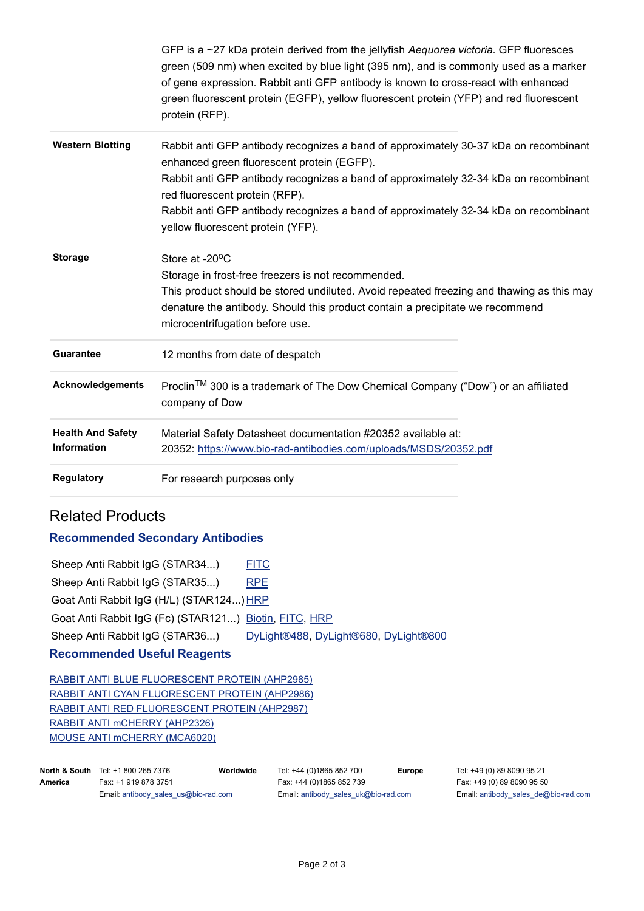|                                         | GFP is a ~27 kDa protein derived from the jellyfish Aequorea victoria. GFP fluoresces<br>green (509 nm) when excited by blue light (395 nm), and is commonly used as a marker<br>of gene expression. Rabbit anti GFP antibody is known to cross-react with enhanced<br>green fluorescent protein (EGFP), yellow fluorescent protein (YFP) and red fluorescent<br>protein (RFP).           |  |
|-----------------------------------------|-------------------------------------------------------------------------------------------------------------------------------------------------------------------------------------------------------------------------------------------------------------------------------------------------------------------------------------------------------------------------------------------|--|
| <b>Western Blotting</b>                 | Rabbit anti GFP antibody recognizes a band of approximately 30-37 kDa on recombinant<br>enhanced green fluorescent protein (EGFP).<br>Rabbit anti GFP antibody recognizes a band of approximately 32-34 kDa on recombinant<br>red fluorescent protein (RFP).<br>Rabbit anti GFP antibody recognizes a band of approximately 32-34 kDa on recombinant<br>yellow fluorescent protein (YFP). |  |
| <b>Storage</b>                          | Store at -20°C<br>Storage in frost-free freezers is not recommended.<br>This product should be stored undiluted. Avoid repeated freezing and thawing as this may<br>denature the antibody. Should this product contain a precipitate we recommend<br>microcentrifugation before use.                                                                                                      |  |
| <b>Guarantee</b>                        | 12 months from date of despatch                                                                                                                                                                                                                                                                                                                                                           |  |
| <b>Acknowledgements</b>                 | Proclin™ 300 is a trademark of The Dow Chemical Company ("Dow") or an affiliated<br>company of Dow                                                                                                                                                                                                                                                                                        |  |
| <b>Health And Safety</b><br>Information | Material Safety Datasheet documentation #20352 available at:<br>20352: https://www.bio-rad-antibodies.com/uploads/MSDS/20352.pdf                                                                                                                                                                                                                                                          |  |
| <b>Regulatory</b>                       | For research purposes only                                                                                                                                                                                                                                                                                                                                                                |  |

### Related Products

#### **Recommended Secondary Antibodies**

| <b>Recommended Useful Reagents</b>                    |                                       |  |  |  |  |
|-------------------------------------------------------|---------------------------------------|--|--|--|--|
| Sheep Anti Rabbit IgG (STAR36)                        | DyLight®488, DyLight®680, DyLight®800 |  |  |  |  |
| Goat Anti Rabbit IgG (Fc) (STAR121) Biotin, FITC, HRP |                                       |  |  |  |  |
| Goat Anti Rabbit IgG (H/L) (STAR124) HRP              |                                       |  |  |  |  |
| Sheep Anti Rabbit IgG (STAR35)                        | <b>RPE</b>                            |  |  |  |  |
| Sheep Anti Rabbit IgG (STAR34)                        | <b>FITC</b>                           |  |  |  |  |

#### **Recommended Useful Reagents**

[RABBIT ANTI BLUE FLUORESCENT PROTEIN \(AHP2985\)](https://www.bio-rad-antibodies.com/polyclonal/blue-fluorescent-protein-antibody-ahp2985.html) [RABBIT ANTI CYAN FLUORESCENT PROTEIN \(AHP2986\)](https://www.bio-rad-antibodies.com/polyclonal/cyan-fluorescent-protein-antibody-ahp2986.html) [RABBIT ANTI RED FLUORESCENT PROTEIN \(AHP2987\)](https://www.bio-rad-antibodies.com/polyclonal/red-fluorescent-protein-antibody-ahp2987.html) [RABBIT ANTI mCHERRY \(AHP2326\)](https://www.bio-rad-antibodies.com/polyclonal/mcherry-antibody-ahp2326.html) [MOUSE ANTI mCHERRY \(MCA6020\)](https://www.bio-rad-antibodies.com/monoclonal/mcherry-antibody-clone-1-mca6020.html)

|         | <b>North &amp; South</b> Tel: +1 800 265 7376 | World |
|---------|-----------------------------------------------|-------|
| America | Fax: +1 919 878 3751                          |       |
|         | Email: antibody_sales_us@bio-rad.com          |       |

**Worldwide** Tel: +44 (0)1865 852 700 Fax: +44 (0)1865 852 739 Email[: antibody\\_sales\\_uk@bio-rad.com](mailto:antibody_sales_uk@bio-rad.com)

**Europe** Tel: +49 (0) 89 8090 95 21 Fax: +49 (0) 89 8090 95 50 Email: [antibody\\_sales\\_de@bio-rad.com](mailto:antibody_sales_de@bio-rad.com)